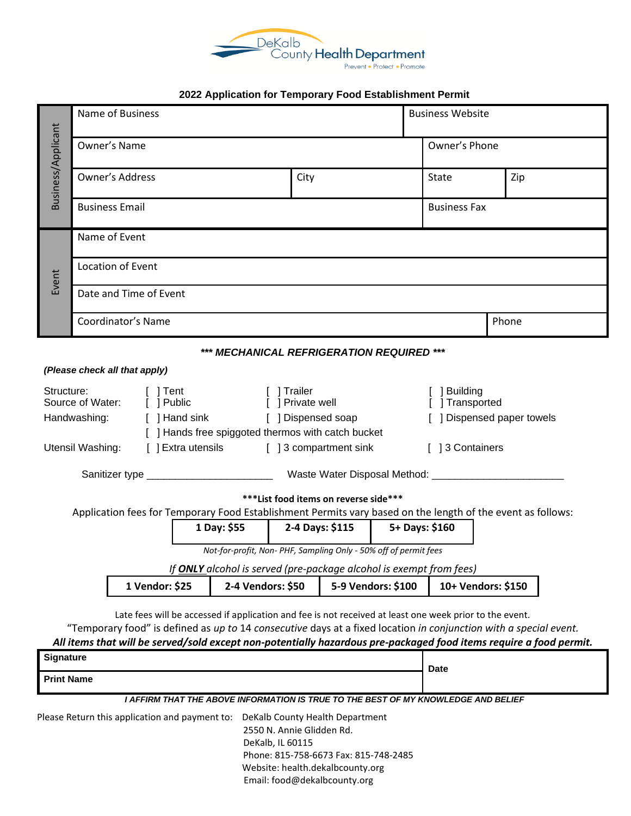

## **2022 Application for Temporary Food Establishment Permit**

| Name of Business              |                               |                                                                                                                                                         |                                                                                                      |                                                                                     |                                                                     | <b>Business Website</b>                                                                                                                                                         |                                                                                                                                                                                                                                                                                                                                                                                                                                                                                                                                                                                                                                                                                                                                                                                         |  |  |
|-------------------------------|-------------------------------|---------------------------------------------------------------------------------------------------------------------------------------------------------|------------------------------------------------------------------------------------------------------|-------------------------------------------------------------------------------------|---------------------------------------------------------------------|---------------------------------------------------------------------------------------------------------------------------------------------------------------------------------|-----------------------------------------------------------------------------------------------------------------------------------------------------------------------------------------------------------------------------------------------------------------------------------------------------------------------------------------------------------------------------------------------------------------------------------------------------------------------------------------------------------------------------------------------------------------------------------------------------------------------------------------------------------------------------------------------------------------------------------------------------------------------------------------|--|--|
| Owner's Name                  |                               |                                                                                                                                                         |                                                                                                      |                                                                                     |                                                                     | Owner's Phone                                                                                                                                                                   |                                                                                                                                                                                                                                                                                                                                                                                                                                                                                                                                                                                                                                                                                                                                                                                         |  |  |
|                               |                               |                                                                                                                                                         | City                                                                                                 |                                                                                     |                                                                     | State                                                                                                                                                                           | Zip                                                                                                                                                                                                                                                                                                                                                                                                                                                                                                                                                                                                                                                                                                                                                                                     |  |  |
|                               | <b>Business Email</b>         |                                                                                                                                                         |                                                                                                      |                                                                                     |                                                                     | <b>Business Fax</b>                                                                                                                                                             |                                                                                                                                                                                                                                                                                                                                                                                                                                                                                                                                                                                                                                                                                                                                                                                         |  |  |
| Name of Event                 |                               |                                                                                                                                                         |                                                                                                      |                                                                                     |                                                                     |                                                                                                                                                                                 |                                                                                                                                                                                                                                                                                                                                                                                                                                                                                                                                                                                                                                                                                                                                                                                         |  |  |
| Location of Event             |                               |                                                                                                                                                         |                                                                                                      |                                                                                     |                                                                     |                                                                                                                                                                                 |                                                                                                                                                                                                                                                                                                                                                                                                                                                                                                                                                                                                                                                                                                                                                                                         |  |  |
|                               |                               |                                                                                                                                                         |                                                                                                      |                                                                                     |                                                                     |                                                                                                                                                                                 |                                                                                                                                                                                                                                                                                                                                                                                                                                                                                                                                                                                                                                                                                                                                                                                         |  |  |
|                               |                               |                                                                                                                                                         |                                                                                                      |                                                                                     |                                                                     |                                                                                                                                                                                 | Phone                                                                                                                                                                                                                                                                                                                                                                                                                                                                                                                                                                                                                                                                                                                                                                                   |  |  |
|                               |                               |                                                                                                                                                         |                                                                                                      |                                                                                     |                                                                     |                                                                                                                                                                                 |                                                                                                                                                                                                                                                                                                                                                                                                                                                                                                                                                                                                                                                                                                                                                                                         |  |  |
|                               |                               |                                                                                                                                                         |                                                                                                      |                                                                                     |                                                                     |                                                                                                                                                                                 |                                                                                                                                                                                                                                                                                                                                                                                                                                                                                                                                                                                                                                                                                                                                                                                         |  |  |
| Structure:<br>$\lceil$   Tent |                               |                                                                                                                                                         | [ ] Trailer                                                                                          |                                                                                     |                                                                     | ] Building                                                                                                                                                                      |                                                                                                                                                                                                                                                                                                                                                                                                                                                                                                                                                                                                                                                                                                                                                                                         |  |  |
| Source of Water:              |                               |                                                                                                                                                         |                                                                                                      | [ ] Transported<br>[ ] Dispensed paper towels                                       |                                                                     |                                                                                                                                                                                 |                                                                                                                                                                                                                                                                                                                                                                                                                                                                                                                                                                                                                                                                                                                                                                                         |  |  |
|                               |                               |                                                                                                                                                         |                                                                                                      |                                                                                     |                                                                     |                                                                                                                                                                                 |                                                                                                                                                                                                                                                                                                                                                                                                                                                                                                                                                                                                                                                                                                                                                                                         |  |  |
|                               |                               |                                                                                                                                                         |                                                                                                      |                                                                                     |                                                                     | [ 13 Containers                                                                                                                                                                 |                                                                                                                                                                                                                                                                                                                                                                                                                                                                                                                                                                                                                                                                                                                                                                                         |  |  |
|                               |                               |                                                                                                                                                         |                                                                                                      |                                                                                     |                                                                     |                                                                                                                                                                                 |                                                                                                                                                                                                                                                                                                                                                                                                                                                                                                                                                                                                                                                                                                                                                                                         |  |  |
|                               |                               |                                                                                                                                                         |                                                                                                      |                                                                                     |                                                                     |                                                                                                                                                                                 |                                                                                                                                                                                                                                                                                                                                                                                                                                                                                                                                                                                                                                                                                                                                                                                         |  |  |
|                               |                               |                                                                                                                                                         |                                                                                                      |                                                                                     |                                                                     |                                                                                                                                                                                 |                                                                                                                                                                                                                                                                                                                                                                                                                                                                                                                                                                                                                                                                                                                                                                                         |  |  |
|                               |                               |                                                                                                                                                         | 2-4 Days: \$115                                                                                      |                                                                                     |                                                                     |                                                                                                                                                                                 |                                                                                                                                                                                                                                                                                                                                                                                                                                                                                                                                                                                                                                                                                                                                                                                         |  |  |
|                               |                               |                                                                                                                                                         |                                                                                                      |                                                                                     |                                                                     |                                                                                                                                                                                 |                                                                                                                                                                                                                                                                                                                                                                                                                                                                                                                                                                                                                                                                                                                                                                                         |  |  |
|                               |                               |                                                                                                                                                         |                                                                                                      |                                                                                     |                                                                     |                                                                                                                                                                                 |                                                                                                                                                                                                                                                                                                                                                                                                                                                                                                                                                                                                                                                                                                                                                                                         |  |  |
|                               |                               |                                                                                                                                                         |                                                                                                      |                                                                                     |                                                                     |                                                                                                                                                                                 |                                                                                                                                                                                                                                                                                                                                                                                                                                                                                                                                                                                                                                                                                                                                                                                         |  |  |
|                               |                               |                                                                                                                                                         |                                                                                                      |                                                                                     |                                                                     |                                                                                                                                                                                 |                                                                                                                                                                                                                                                                                                                                                                                                                                                                                                                                                                                                                                                                                                                                                                                         |  |  |
|                               |                               |                                                                                                                                                         |                                                                                                      |                                                                                     |                                                                     |                                                                                                                                                                                 |                                                                                                                                                                                                                                                                                                                                                                                                                                                                                                                                                                                                                                                                                                                                                                                         |  |  |
|                               |                               |                                                                                                                                                         |                                                                                                      |                                                                                     |                                                                     |                                                                                                                                                                                 |                                                                                                                                                                                                                                                                                                                                                                                                                                                                                                                                                                                                                                                                                                                                                                                         |  |  |
|                               |                               |                                                                                                                                                         |                                                                                                      |                                                                                     |                                                                     |                                                                                                                                                                                 |                                                                                                                                                                                                                                                                                                                                                                                                                                                                                                                                                                                                                                                                                                                                                                                         |  |  |
| <b>Print Name</b>             |                               |                                                                                                                                                         |                                                                                                      |                                                                                     | <b>Date</b>                                                         |                                                                                                                                                                                 |                                                                                                                                                                                                                                                                                                                                                                                                                                                                                                                                                                                                                                                                                                                                                                                         |  |  |
|                               |                               |                                                                                                                                                         |                                                                                                      |                                                                                     |                                                                     |                                                                                                                                                                                 |                                                                                                                                                                                                                                                                                                                                                                                                                                                                                                                                                                                                                                                                                                                                                                                         |  |  |
|                               |                               |                                                                                                                                                         |                                                                                                      |                                                                                     |                                                                     |                                                                                                                                                                                 |                                                                                                                                                                                                                                                                                                                                                                                                                                                                                                                                                                                                                                                                                                                                                                                         |  |  |
|                               |                               |                                                                                                                                                         |                                                                                                      |                                                                                     |                                                                     |                                                                                                                                                                                 |                                                                                                                                                                                                                                                                                                                                                                                                                                                                                                                                                                                                                                                                                                                                                                                         |  |  |
|                               | Utensil Washing:<br>Signature | <b>Owner's Address</b><br>Date and Time of Event<br>Coordinator's Name<br>(Please check all that apply)<br>[ ] Public<br>Handwashing:<br>1 Vendor: \$25 | [ ] Hand sink<br>[ ] Extra utensils<br>1 Day: \$55<br>Please Return this application and payment to: | Sanitizer type ___________________________<br>2-4 Vendors: \$50<br>DeKalb, IL 60115 | [ ] Private well<br>[ ] Dispensed soap<br>2550 N. Annie Glidden Rd. | [ ] Hands free spiggoted thermos with catch bucket<br>[ ] 3 compartment sink<br>*** List food items on reverse side***<br>5-9 Vendors: \$100<br>DeKalb County Health Department | *** MECHANICAL REFRIGERATION REQUIRED ***<br>Application fees for Temporary Food Establishment Permits vary based on the length of the event as follows:<br>5+ Days: \$160<br>Not-for-profit, Non- PHF, Sampling Only - 50% off of permit fees<br>If ONLY alcohol is served (pre-package alcohol is exempt from fees)<br>10+ Vendors: \$150<br>Late fees will be accessed if application and fee is not received at least one week prior to the event.<br>"Temporary food" is defined as up to 14 consecutive days at a fixed location in conjunction with a special event.<br>All items that will be served/sold except non-potentially hazardous pre-packaged food items require a food permit.<br>I AFFIRM THAT THE ABOVE INFORMATION IS TRUE TO THE BEST OF MY KNOWLEDGE AND BELIEF |  |  |

 Phone: 815-758-6673 Fax: 815-748-2485 Website: health.dekalbcounty.org Email: food@dekalbcounty.org